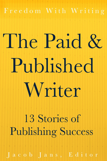Freedom With Writing

**TAN A REAL PROPERTY OF** 

# The Paid & Published Writer

13 Stories of **Publishing Success** 

Jacob Jans, Editor

\* \* \* \* \* \* \* \* \* \* \* \* \* \* \* \* \* \* \* \*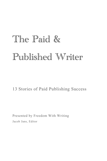# The Paid & Published Writer

#### 13 Stories of Paid Publishing Success

Presented by Freedom With Writing Jacob Jans, Editor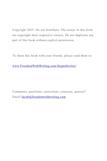Copyright 2015. Do not distribute. The essays in this book are copyright their respective owners. Do not duplicate any part of this book without explicit permission.

To share this book with your friends, please send them to:

www.FreedomWithWriting.com/thepaidwriter/

Comments, questions, corrections, concerns, queries? Email Jacob@freedomwithwriting.com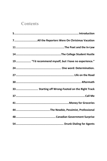#### Contents

| 19 "I'd recommend myself, but I have no experience." |
|------------------------------------------------------|
|                                                      |
|                                                      |
|                                                      |
| 33 Starting off Wrong-Footed on the Right Track      |
|                                                      |
|                                                      |
|                                                      |
|                                                      |
|                                                      |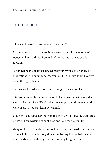#### Introduction

"How can I possibly earn money as a writer?"

As someone who has successfully earned a significant amount of money with my writing, I often don't know how to answer this question.

I often tell people that you can submit your writing to a variety of publications, or sign up for a "content mill," or network until you've found the right clients.

But that kind of advice is often not enough. It is incomplete.

It is disconnected from the real world challenges and situations that every writer will face. This book dives straight into those real world challenges, so you can learn by example.

You won't get vague advice from this book. You'll get the truth: Real stories of how writers got published and paid for their writing.

Many of the individuals in this book have built successful careers as writers. Others have leveraged their publishing to establish success in other fields. One of them just needed money for groceries.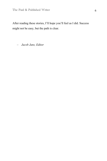After reading these stories, I'll hope you'll feel as I did. Success might not be easy, but the path is clear.

– *Jacob Jans, Editor*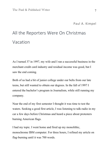## All the Reporters Were On Christmas Vacation

As I turned 37 in 1997, my wife and I ran a successful business in the merchant credit card industry and residual income was good, but I saw the end coming.

Both of us had a bit of junior college under our belts from our late teens, but still wanted to obtain our degrees. In the fall of 1997 I entered the bachelor's program in Journalism, while still running my company.

Near the end of my first semester I thought it was time to test the waters. Seeking a good first article, I was listening to talk-radio in my car a few days before Christmas and heard a piece about protesters burning American flags.

I had my topic. I went home and fired up my monolithic, monochrome IBM computer. For three hours, I refined my article on flag-burning until it was 700 words.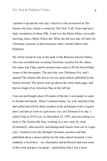I printed it up and the next day I faxed it to the newsroom at The Gainesville Sun, which is owned by The New York Times and has a daily circulation of about 50K. I sent it to the Metro Editor, not really knowing what a Metro Editor did. What she did was take off early for Christmas vacation, as had numerous other veteran Editors and Reporters.

My article found its way to the desk of the Business Section Editor, who was corralled into covering Christmas vacation for the others. His name was Chip, and he needed some copy to fill the thin holiday issues of the newspaper. The next day was Christmas Eve, and I opened The Gainesville Sun to see my entire article published in the Nation section! The article took up almost the entire back page, and had an image of an American flag on the left bar.

I ran out and bought about 20 copies of the day's newspaper to send to friends and family. When I returned home, my wife said that Chip had called and left his direct number at the newspaper with a request that I call him as soon as I got home; yes, on Christmas Eve day. I called Chip at 10:30 a.m. on December 24, 1997, and was sitting at a desk in The Gainesville Sun, working on a new story by noon. (Fortunately, ultra-security and background checks were not in vogue yet). I worked every day through Christmas vacation and had published about a dozen articles by the time school resumed. I was suddenly a local hero – my classmates and professors had seen some of the work and gave me props – particularly that I was a (non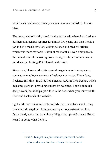traditional) freshman and many seniors were not published. It was a blast.

The newspaper officially hired me the next week, where I worked as a business and general reporter for almost two years, and then I took a job in UF's media division, writing science and medical articles, which was more my forte. Within three months, I won first place in the annual contest for writing from the Agricultural Communicators in Education, beating 459 international entries.

Since then, I have worked for several magazines and newspapers, some as an employee, some as a freelance contractor. These days, I freelance full-time. In 2013, I obtained an A.A. in Web Design, which helps me get work providing content for websites. I don't do much design work, but it helps get a foot in the door when you can work the front and back ends of a website.

I get work from client referrals and ads I put on websites and listing services. I do anything, from resume repair to ghost-writing. It is fairly steady work, but as with anything it has ups-and-downs. But at least I'm doing what I enjoy.

> Paul A. Kimpel is a professional journalist / editor who works on a freelance basis. He has almost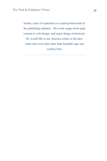twenty years of experience as a paid professional in the publishing industry. His work ranges from pulp content to web design, and many things in-between. He would like to see America return to the days when men wore hats other than baseball caps and cowboy hats.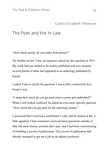#### The Poet and the In-Law

"How much money do you make from poetry?"

My brother-in-law Tony, an engineer, asked me this question in 2011. My work had just started to be widely published and very recently several poems of mine had appeared in an anthology published by Knopf.

I asked Tony to clarify his question. I was a little confused by how broad it was.

"I mean how much do you get paid when a poem gets published?" When I still looked confused, he asked an even more specific question "How much did you get paid for the anthology poems."

I answered that I received a contributor's copy and he looked at me, a little appalled. I had sometimes received token payments outside of that, but most literary journals don't pay, and I had been concentrating on building a record of publication. This record of publication had already managed to get me a job as an adjunct professor.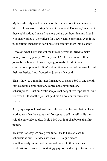My boss directly cited the name of the publications that convinced him that I was worth hiring. None of them paid. However, because of those publications I made five more dollars per hour than my friend who had worked at the college for a few years. Sometimes even if the publications themselves don't pay, you can turn them into a career.

However what Tony said got me thinking, what if I tried to make money from my poetry? Was it possible? The next month all the journals I submitted to were paying journals. I didn't count contributor copies and I didn't submit it to any journal because I liked their aesthetics, I just focused on journals that paid.

That is how, two months later I managed to make \$300 in one month (not counting complimentary copies and complimentary subscriptions). First an Australian journal bought two reprints of mine for over \$120. Another journal paid me 80 dollars for three new poems.

Also, my chapbook had just been released and the way that publisher worked was that they gave me 250 copies to sell myself while they sold the other 250 copies. I sold \$100 worth of chapbooks that first month.

This was not easy. At any given time I try to have at least 40 submissions out. That does not mean 40 unique pieces, I simultaneously submit 4-7 packets of poems to these various publications. However, this strategy pays off and not just for me. One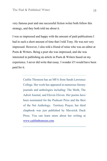very famous poet and one successful fiction writer both follow this strategy, and they both told me about it.

I was so impressed and happy with the amount of paid publications I had in such a short amount of time that I told Tony. He was not very impressed. However, I also told a friend of mine who was an editor at Poets & Writers. Being a poet she was impressed, and she was interested in publishing an article in Poets & Writers based on my experience. I never did write that essay. I wonder if I would have been paid for it.

> Caitlin Thomson has an MFA from Sarah Lawrence College. Her work has appeared in numerous literary journals and anthologies including: The Moth, The Adroit Journal, and Eleven Eleven. Her poems have been nominated for the Pushcart Prize and the Best of the Net Anthology. Territory Prayer, her third chapbook was just published by Maverick Duck Press. You can learn more about her writing at www.caitlinthomson.com.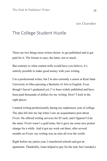#### The College Student Hustle

There are two things most writers desire: to get published and to get paid for it. The former is easy; the latter, not so much.

But contrary to what content mills would have you believe, it's entirely possible to make good money with your writing.

I'm a professional writer, but I'm also currently a senior at Kent State University in Ohio pursuing a Bachelor of Arts in English. Even though I haven't graduated yet, I've been widely published and have been paid thousands of dollars for my writing. How? I look in the right places.

I started writing professionally during my sophomore year of college. The idea fell into my lap when I saw an acquaintance post about Fiverr. He offered writing services for \$5 each, and I figured I'd do the same. Fiverr wasn't a gold mine, but it gave me some nice pocket change for a while. And it got my work out there; after several months on Fiverr, my writing was on sites all over the world.

Right before my junior year, I transferred schools and got an apartment. Thankfully, loans helped to pay for the rent, but I needed a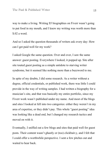way to make a living. Writing \$5 biographies on Fiverr wasn't going to put food in my mouth, and I knew my writing was worth more than \$.02 a word.

And so I asked the question thousands of writers ask every day: How can I get paid well for my work?

I asked Google the same question. Over and over, I saw the same answer: guest posting. Everywhere I looked, it popped up. Site after site touted guest posting as a simple antidote to starving writer syndrome, but it seemed like nothing more than a buzzword to me.

In spite of my doubts, I did some research. As a writer without a degree, official credentials, or published work, there was little I could provide in the way of writing samples. I had written a biography for a musician's site, and that was basically my entire portfolio, since my Fiverr work wasn't published under my name. And most of the blogs and sites I looked at fell into two categories: either they weren't in my area of expertise, or they didn't pay. This whole "guest posting" idea was looking like a dead end, but I changed my research tactics and moved on with it.

Eventually, I sniffed out a few blogs and sites that paid well for guest posts. Their content wasn't ghastly or (too) clickbait-y, and I felt that I could offer a worthwhile perspective. I sent a few pitches out and waited to hear back.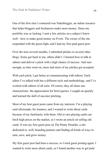One of the first sites I contacted was Nukeblogger, an online resource that helps bloggers and freelancers make more money. Since my portfolio was so lacking, I sent a few articles on a subject I knew well––how to make good money on Fiverr. The owner of the site responded with the green light, and I had my first paid guest post.

Over the next several months, I submitted pitches to several other blogs. Some got back to me, others didn't. I learned how to talk to editors and deliver a pitch with a high chance of success. And sure enough, as time went on, more and more of my pitches got accepted.

With each pitch, I got better at communicating with editors. Each editor I've talked with has a different style and methodology, and I've worked with editors of all sorts. Of course, they all share one characteristic: the appreciation for brief queries. I caught on quickly and learned the skill of succinct pitching.

Most of my best guest posts came from my interests. I'm a playing card aficionado, for instance, and I wanted to write about cards because of my familiarity with them. Old or rare playing cards can fetch high prices on the market, so I wrote an article on selling old cards. It was my first guest post on The Penny Hoarder, a site dedicated to, well, hoarding pennies and finding all kinds of ways to earn, save, and grow money.

My first guest post had been a success, so I tried guest posting again. I wanted to write more about cards, so I found another way to get paid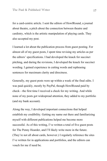for a card-centric article. I sent the editors of HowlRound, a journal about theatre, a pitch about the connection between theatre and cardistry, which is the artistic manipulation of playing cards. They also accepted my post.

I learned a lot about the publication process from guest posting. For almost all of my guest posts, I spent time revising my articles as per the editors' specifications. I had developed the knack for succinct pitching, and during the revisions, I developed the knack for succinct wording. I gained experience in cutting words and rephrasing sentences for maximum clarity and directness.

Generally, my guest posts were up within a week of the final edits. I was paid quickly, mostly by PayPal, though HowlRound paid by check––the first time I received a check for my writing. And while none of my posts got widespread attention, they added to my portfolio (and my bank account).

Along the way, I developed important connections that helped establish my credibility. Getting my name out there and familiarizing myself with different publications helped me become more successful. As of this writing, I've written a total of five guest posts for The Penny Hoarder, and I'll likely write more in the future. (They're not all about cards, however.) I regularly reference the sites I've written for in applications and portfolios, and the editors can vouch for me if need be.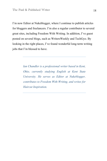I'm now Editor at Nukeblogger, where I continue to publish articles for bloggers and freelancers. I'm also a regular contributor to several great sites, including Freedom With Writing. In addition, I've guest posted on several blogs, such as WritersWeekly and TechGyo. By looking in the right places, I've found wonderful long-term writing jobs that I'm blessed to have.

> *Ian Chandler is a professional writer based in Kent, Ohio, currently studying English at Kent State University. He serves as Editor at Nukeblogger, contributes to Freedom With Writing, and writes for Haircut Inspiration.*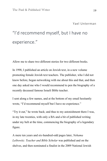# "I'd recommend myself, but I have no experience."

Allow me to share two different stories for two different books.

In 1998, I published an article on Jewish text, in a new volume promoting female Jewish text teachers. The publisher, who I did not know before, began networking with me about this and that, and then one day asked me who I would recommend to pen the biography of a recently deceased famous Israeli Bible teacher.

I sent along a few names, and at the bottom of my email hesitantly wrote, "I'd recommend myself but I have no experience."

"Try it out," he wrote back; and thus to my astonishment there I was, in my late twenties, with only a BA and a bit of published writing under my belt at the time, commencing the biography of a legendary figure.

A mere ten years and six-hundred-odd pages later, *Nehama Leibowitz: Teacher and Bible Scholar* was published and on the shelves, and then nominated a finalist in the 2009 National Jewish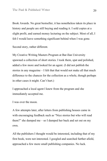Book Awards. No great bestseller, it has nonetheless taken its place in history and people are still buying and reading it. I sold copies at a slight profit, and earned money lecturing on the subject. Most of all, I felt I would leave something significant behind when I was gone.

Second story, rather different.

My Creative Writing Masters Program at Bar-Ilan University spawned a collection of short stories. I took them, spat and polished, added a few more and looked for an agent. (I did not publish the stories in any magazine – I felt that that would not make all that much difference to the chances for the collection as a whole, though perhaps in other cases it might. Can't hurt.)

I approached a local agent I knew from the program and she immediately accepted me.

I was over the moon.

A few attempts later, after letters from publishing houses came in with encouraging feedback such as "Nice stories but who will read them?" she dumped me – so I dumped her back and set out on my own.

All the publishers I thought would be interested, including that of my first book, were not interested. I googled and searched further afield, approached a few more small publishing companies. No luck.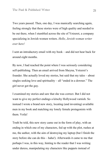Two years passed. Then, one day, I was manically searching again, feeling strongly that these stories were of high quality and needed to be out there, when I stumbled across the site of Yotzeret, a company specializing in Jewish women writers. *Hello, Jewish woman writer over here!*

I sent an introductory email with my book – and did not hear back for around eight months.

By now, I had reached the point where I was seriously considering self-publishing. Then an email arrived from Sheyna, Yotzeret's founder. She actually loved my stories, but said that my tales – about singles seeking love and spirituality – all "ended in a downer." The girl never got the guy.

I examined my stories and saw that she was correct. But I did not want to give my perfect endings a kitschy Hollywood varnish. So instead I wrote a brand new story, locating (and inventing) available men in my book and matching my lonely female protagonists with them. Voila!

Truth be told, this new story came out in the form of play, with an ending in which one of my characters, fed up with the plot, rushes at me, the author, with the aim of destroying my laptop (but I finish the story before she can do this – haha!). Afterwards it came to me that perhaps I was, in this way, hinting to the reader that I was writing under duress, manipulating my characters like puppets instead of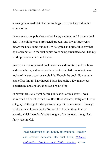allowing them to dictate their unfoldings to me, as they did in the other stories.

In any event, my publisher got her happy endings, and I got my book deal. The editing was a protracted process, and it was three years before the book came out; but I'm delighted and grateful to say that by December 2013 the first copies were being circulated and I had my world premiere launch in London.

Since then I've organized book launches and events to sell the book and create buzz, and have used my book as a platform to lecture on topics of interest, such as single life. Though the book did not quite take off as I might have hoped, I have had quite a few marvelous experiences and conversations as a result of it.

In November 2015, right before publication of this essay, I was nominated a finalist in the USA Best Book Awards, Religious Fiction category. Although I did organize all my PR events myself, having a publisher who knows the turf is useful in finding these kind of awards, which I wouldn't have thought of on my own, though I am fairly resourceful.

> Yael Unterman is an author, international lecturer and creative educator. Her first book, *Nehama Leibowitz: Teacher and Bible Scholar* (Urim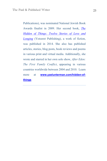Publications), was nominated National Jewish Book Awards finalist in 2009. Her second book, *The Hidden of Things: Twelve Stories of Love and Longing* (Yotzeret Publishing), a work of fiction, was published in 2014. She also has published articles, stories, blog posts, book reviews and poems in various print and virtual media*.* Additionally, she wrote and starred in her own solo show, *After Eden: The First Family Conflict*, appearing in various countries worldwide between 2004 and 2010. Learn more at **www.yaelunterman.com/hidden-ofthings**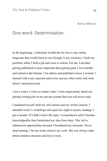#### One word: Determination.

In the beginning, I submitted worldwide for free to any online magazine that would listen to me (Google is my resource). I built my portfolio while I held a job and went to school. For me, I decided getting published is more important than getting paid. I was humble and started at the bottom. I let editors and publishers know I existed. I learned with every rejection and every success what works and what doesn't and persevered.

I am a writer. I write no matter what. I write angst poetry about not getting writing jobs in my private journal that you will never read.

I marketed myself, built my self-esteem and my writers muscle. I attended writer's workshops and open mic night at poetry readings. I got a mentor. If I didn't know the topic, I researched it until I became knowledgeable then formulated my idea from there. This led to submission opportunities because I broadened my horizons. Never stop learning. I let my mom criticize my work. She was always right about sentence structure and less is more.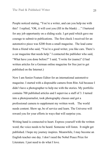People noticed stating, "You're a writer, and can you help me with this? I replied, "OK, it will cost you (fill in the blank) …" I bartered for any job opportunity on a sliding scale. I got paid which gave me courage to submit to publications. The first check I received for an automotive piece was \$200 from a small magazine. The lead came from a friend who said, "You're a good writer, you like cars. There's a car magazine that needs help." I contacted the publisher who said, "What have you done before?" I said, "I write for (name)" (I had written articles for a German online magazine for free just to get published on the Internet.)

Now I am Senior Feature Editor for an international automotive magazine. I started with a disposable camera from Rite Aid because I didn't have a photographer to help me with the stories. My portfolio contains 700 published articles and I supervise a staff of 3. I turned into a photojournalist, took photography classes and got a professional camera to supplement my written work. The world needs content. Show up, be of service and learn. The Universe will reward you for your efforts in ways that will surprise you.

Writing hand is connected to heart. Express yourself with the written word; the voice needs to be heard. Someone will listen. It might get published. I hope my journey inspires. Meanwhile, I may become an English teacher one day. I don't need the Nobel Peace Prize for Literature. I just need to do what I love.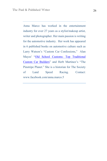Anna Marco has worked in the entertainment industry for over 27 years as a stylist/makeup artist, writer and photographer. Her main passion is writing for the automotive industry. Her work has appeared in 6 published books on automotive culture such as Larry Watson's "Custom Car Confessions," Alan Mayes' "Old School Customs: Top Traditional Custom Car Builders" and Herb Martinez's "The Pinstripe Planet." She is a historian for The Society of Land Speed Racing. Contact: www.facebook.com/anna.marco.5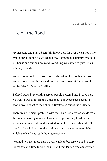Jessica Dionne

#### Life on the Road

My husband and I have been full time RVers for over a year now. We live in our 24 foot fifth-wheel and travel around the country. We sold our house and our business and everything we owned to pursue this enticing lifestyle.

We are not retired like most people who attempt to do this, far from it. We are both in our thirties and everyone we know thinks we are the perfect blend of nuts and brilliant.

Before I started my writing career, people pestered me. Everywhere we went, I was told I should write about our experiences because people would want to read about a lifestyle so out of the ordinary.

There was one major problem with that. I am not a writer. Aside from the creative writing classes I took in college, for fun, I had never written anything. But I really started to think seriously about it. If I could make a living from the road, we could be a lot more mobile, which is what I was really hoping to achieve.

I wanted to travel more than we were able to because we had to stop for months at a time to find jobs. Then I met Pam, a freelance writer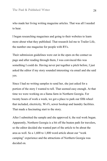who made her living writing magazine articles. That was all I needed to hear.

I began researching magazines and going to their websites to learn more about what they published. That research led me to Trailer Life, the number one magazine for people with RVs.

Their submission guidelines were out in the open on the contact us page and after reading through them, I was convinced this was something I could do. Having never put together a pitch before, I just asked the editor if my story sounded interesting via email and she said yes.

Since I had no writing samples to send her, she just asked for a portion of the story I wanted to tell. That seemed easy enough. At that time we were working on a llama farm in Northern Georgia. For twenty hours of work a week, we got a place to park our fifth wheel that included, electricity, Wi-Fi, sewer hookup and laundry facilities. That made a fascinating start to the story.

After I submitted the sample and she approved it, the real work began. Apparently, Northern Georgia is a bit off the beaten path for travelers, so the editor decided she wanted part of the article to be about the area as well. So a 1,600 to 1,800 word article about our "work camping" experience and the attractions of Northern Georgia was decided on.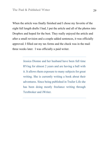When the article was finally finished and I chose my favorite of the eight full length drafts I had, I put the article and all of the photos into Dropbox and hoped for the best. They really enjoyed the article and after a small revision and a couple added sentences, it was officially approved. I filled out my tax forms and the check was in the mail three weeks later. I was officially a paid writer.

> Jessica Dionne and her husband have been full time RVing for almost 2 years and are having a ball with it. It allows them exposure to many subjects for great writing. She is currently writing a book about their adventures. Since being published in Trailer Life she has been doing mostly freelance writing through Textbroker and iWriter.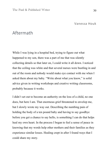Vanessa Houk

#### Aftermath

While I was lying in a hospital bed, trying to figure out what happened to my son, there was a part of me that was silently collecting details so that later on, I could write it all down. I noticed that the ceiling was white and that several nurses were bustling in and out of the room and nobody would make eye contact with me when I asked them about my baby. "Write about what you know," is solid advice given in writing workshops and creative writing classrooms, probably because it works.

I didn't set out to become an authority on the loss of a child, no one does, but here I am. That enormous grief threatened to envelop me, but I slowly wrote my way out. Describing the numbing pain of holding the body of a ten pound baby and having to say goodbye before you get a chance to say hello, is something I can do that helps heal my own heart. In the process I began to feel a sense of peace in knowing that my words help other mothers and their families as they experience similar losses. Healing crept in after I found ways that I could share my story.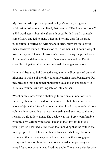My first published piece appeared in Joy Magazine, a regional publication I often read and liked, that featured "The Power of Love," a 500 word essay about the aftermath of stillbirth. It paid a princely sum of \$150 and led to many other paid writing gigs for the same publication. I started out writing about grief, but went on to cover many sensitive human interest stories-- a woman's 300 pound weight loss journey, an 83 year old woman's life after being diagnosed with Alzheimer's and dementia, a trio of women who hiked the Pacific Crest Trail together after facing personal challenges and more.

Later, as I began to build an audience, another editor reached out and hired me to write a bi-monthly column featuring local businesses. For me, breaking into a regional publication gave me an opportunity to build my resume. One writing job led into another.

"Meet our business" was a challenge for me on a number of fronts. Suddenly this introvert had to find a way to talk to business owners about subjects that I found tedious and then I had to spin each of those columns into something that was interesting and exciting, so that my readers would follow along. The upside was that I grew comfortable with my own writing voice and I began to trust my abilities as a young writer. I learned a few tricks too, including that the truth is that most people like to talk about themselves, and what they do for a living and that an easy way to end an article is with a strong quote. Every single one of those business owners had a unique story and once I found out what it was, I had my angle. There was a dentist who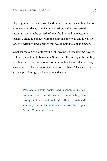played guitar in a rock 'n roll band in the evenings, an architect who volunteered to design low income housing, and a soft-hearted restaurant owner who served leftover food to the homeless. My readers wanted to connect with the story in some way and it was my job, as a writer to find a bridge that would help make that happen.

What started out as a dull writing job, wound up teaching me how to reel in the most unlikely readers. Sometimes the most painful writing, whether that be due to emotions or tedium, has lessons that we carry across the decades and into other areas of our lives. That's true for me, as it's a practice I go back to again and again.

> Passionate about social and economic justice, Vanessa Houk is dedicated to chronicling the struggles of labor and civil rights. Based in Ashland, Oregon, she is the editor-in-chief of the Rogue Valley Community Press.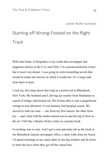## Starting off Wrong-Footed on the Right **Track**

With four books of biography to my credit plus newspaper and magazine articles in the U.S. and Chile, I'm a proud nonfiction writer, but it wasn't my dream. I was going to write bestselling novels that would be made into movies in which I would star. It's a long road from there to here.

I took my first steps down that road as a newlywed in Rhinebeck, New York. My husband and I, driving up country from Manhattan in search of refuge, had lucked out. We'd been able to rent a gingerbread cottage in one afternoon. It was autumn, leaf-peeping season. We moved in with our sons — one from my first liaison, the other from his — and, what with the multi-colored leaves and the nip of frost in the air, I felt like a Beatrix Potter critter in a picture book.

Everything was so cute. And I got a cute part-time job as the clerk in the Rhinebeck Gazette newspaper office, a short walk from my house. I'd spend mornings at my sunny desk by the big window and be home to meet the boys when they got off the school bus.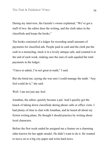During my interview, the Gazette's owner explained, "We've got a staff of two: the editor does the writing, and the clerk takes in the classifieds and keeps the books."

The books consisted of a ledger for recording small amounts of payments for classified ads. People paid in cash and the clerk put the cash in a moneybag, stuck it in a lovely antique safe, and counted it at the end of each week, making sure the sum of cash equaled the total payments in the ledger.

"I have to admit, I'm not great at math," I said.

But she hired me, saying she was sure I could manage the math. "Any fool could do it," she said.

Well. I am not just any fool.

Jonathan, the editor, quickly became a pal. And I quickly got the knack of taking down classifieds during phone calls or office visits. I had plenty of time to chat with Jonathan, and he heard all about my fiction writing plans. He thought I should practice by writing about local characters.

Before the first week ended he assigned me a feature on a charming elder known for her apple strudel. He didn't want to do it. He wanted to move on to a big city paper and write hard news.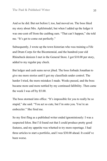And so he did. But not before I, too, had moved on. The boss liked my story about Mrs. Apfelstrudel, but when I added up the ledger it was one-cent off from the cashbag sum. "That can't happen," she told me. "It's got to come out perfectly."

Subsequently, I wrote up the town historian who was training a Fife and Drum Corps for the Bicentennial, and the hundred-year old Rhinebeck denizen I met in the General Store. I got \$10.00 per story, added to my regular pay check.

But ledger and cash sums never jibed. The boss forbade Jonathan to give me more stories until I got my classifieds under control. The harder I tried, the more mistakes I made. Weeks passed, and the boss became more and more nettled by my continued fallibility. Then came the week I was off by \$5.00.

The boss stormed into office. "It's impossible for you to really be so stupid," she said. "You act so cute, but I'm onto you. You're an embezzler." She fired me.

So my first fling as a published writer ended ignominiously: I was a suspected felon. But I'd found out that I could produce pretty good features, and my appetite was whetted to try more reportage. I had three articles to start a portfolio, and I was \$30.00 ahead. It could've been worse.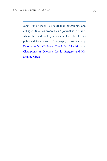Janet Ruhe-Schoen is a journalist, biographer, and collagist. She has worked as a journalist in Chile, where she lived for 11 years, and in the U.S. She has published four books of biography, most recently Rejoice in My Gladness: The Life of Tahirih, and Champions of Oneness: Louis Gregory and His Shining Circle.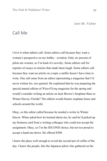Joni M. Fisher

#### Call Me

I love it when editors call. Some editors call because they want a woman's perspective on my hobby—aviation. Only six percent of pilots are women, so I'm kind of a novelty. Some editors call for reprints of essays or articles that made them laugh. Some editors call because they want an article on a topic a staffer doesn't have time to write. One call came from an editor representing a magazine that I'd never written for, nor queried. He explained that he was preparing the special annual edition of *WaterFlying* magazine for the spring and would I consider writing an article on Jack Brown's Seaplane Base in Winter Haven, Florida? The edition would feature seaplane bases and schools around the world.

Okay, so this editor called because he needed a writer in Winter Haven. When asked how he learned about me, he said he'd picked up my business card from a writing colleague who could not accept the assignment. Okay, so I'm the SECOND choice, but not too proud to accept a hand-me-down. He offered \$500.

I knew the place well enough to avoid the second pot of coffee of the day. I knew the people, like the Japanese pilots who gathered on the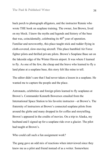back porch to photograph alligators, and the instructor Rennie who wrote THE book on seaplane training. The owner, Jon Brown, lived on my block. I knew the myths and legends and history of the base that was, coincidentally, celebrating its  $40<sup>th</sup>$  year of operation. Familiar and newsworthy, this place taught stick and rudder flying in cloth-covered, slow-moving aircraft. This place humbled Air Force fighter pilots and thrilled private pilots. Brown's Seaplane Base sat on the lakeside edge of the Winter Haven airport. It was where I learned to fly. As one of the few, the cheap and the brave who learned to fly a land plane at a seaplane base, this story felt like mine to tell.

The editor didn't care that I had never taken a lesson in a seaplane. He wanted me to capture the people and the place.

Astronauts, celebrities and foreign pilots learned to fly seaplanes at Brown's. Commander Kenneth Bowersox emailed from the International Space Station to his favorite instructor—at Brown's. The fraternity of instructors at Brown's connected seaplane pilots from around the globe and many dropped in for coffee and storytelling. Brown's appeared in the credits of movies. On a trip to Alaska, my husband and I signed up for a seaplane ride over a glacier. The pilot had taught at Brown's.

Who could call such a fun assignment work?

The gang gave an odd mix of reactions when interviewed since they knew me as a pilot and friend instead of as a writer. Somewhere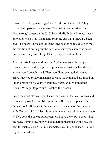between "spell my name right" and "is this on the record?" they shared their passion for the base. The instructors described the "Armstrong" starter on the J3-Cub as I dutifully jotted notes. It was only later when I saw them hand-prop the cub that I knew I'd been had. The dears. These are the same guys who tried to explain to me the tradition of cutting out the back of a shirt when someone solos. For women, they said straight-faced, they cut out the front.

After the article appeared in *WaterFlying* magazine the gang at Brown's gave me their sign of approval—they asked when the next article would be published. They, too, liked seeing their names in print. I queried *Pipers* magazine because the seaplane base relied on Piper aircraft for 40 years of training. *Pipers* gladly bought the reprint. With guilty pleasure, I cashed the checks.

Since these articles were published, hurricanes Charley, Frances and Jeanne all passed within fifteen miles of Brown's Seaplane Base. Frances took off the roof. Frances is also the name of the owner's wife. Do you think I'll let this aviation news pass without reporting on it? I've done the background research; I have the clips to show about the base. Lemme see. Now which aviation magazine would pay the best for such a story? Call me shameless, call me published. Call me if you're an editor.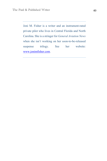Joni M. Fisher is a writer and an instrument-rated private pilot who lives in Central Florida and North Carolina. She is a stringer for *General Aviation News* when she isn't working on her soon-to-be-released suspense trilogy. See her website: www.jonimfisher.com.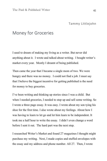#### Money for Groceries

I used to dream of making my living as a writer. But never did anything about it. I wrote and talked about writing. I bought writer's market every year. Mostly I dreamt of being published.

Then came the year that I became a single mom of two. We were hungry and there was no money. I could not find a job. I must say that I believe the biggest incentive for getting published is the need for money to buy groceries.

I've been writing and thinking up stories since I was a child. But when I needed groceries, I needed to step up and sell some writing. So I wrote a three page essay. It was easy. I wrote about my son tying his shoe for the first time. I also wrote about my feelings. About how I was having to learn to let go and let him learn to be independent. It took me a half hour to write the essay. I didn't even change a word before I sent it out. The hard part was the next step.

I researched Writer's Market and found 27 magazines I thought might purchase my writing. Next, I made copies and stuffed envelopes with the essay and my address and phone number. All 27. Then, I wrote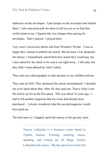addresses on the envelopes. I put stamps on the envelopes and mailed them. I also sent postcards for them to tell me yes or no that they could return to me. I figured this was cheaper than paying for envelopes. Then I prayed. I prayed hard.

Very soon, I received a phone call from Woman's World. I was so happy they wanted to publish my article. But because I was desperate for money, I immediately asked them how much they would pay me. I also asked for the check to be sent to me right away. I felt rude, but they didn't seem phased by what I asked.

They sent out a photographer to take pictures of my children and me.

They sent me \$50. They shortened the article tremendously. I decided not to be upset about that. After all, they paid me. That is what I sent the article out for in the first place. This was about 16 years ago. I had to tell another magazine that my essay had already been purchased. I always wondered what the second magazine would have paid me.

The best news is: I happily spent the money at the grocery store.

Tammy Littlejohn is a freelance writer based in Topeka, Kansas. Farming, teaching, music, speaking, and writing are all things Tammy Littlejohn truly enjoys. She has spent most of her life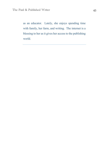as an educator. Lately, she enjoys spending time with family, her farm, and writing. The internet is a blessing to her as it gives her access to the publishing world.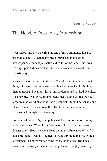#### The Newbie, Pessimist, Professional

It was 2007, and I was nearing the end of my Communication-BA program at age 31. I had many pieces published in the school newspaper as a student journalist and editor of the paper, but I was craving a paid byline about as much as I crave chocolate cake on stressful days.

Seeking to score a byline in the "real" world, I wrote articles about things of interest, current events, and hot-button topics. I submitted them to news publications, just as my professor had advised. No bites. As a newbie, I was extra disappointed since I didn't yet realize how large was the world of writing. As a pessimist, I took it personally and blamed the universe and relentless bad luck. As an ambitious professional, though, I kept writing.

I researched the art of getting published. I was most focused on my trade, journalism. When I stumbled upon a book by writer Jenna Glatzer titled "How to Make a Real Living as a Freelance Writer," I had a profound "Duhhh!" moment. I wasn't trying to make a living as a freelancer. I simply wanted some legit writing creds. Her book showed me pathways I had never thought about. I eighty-sixed my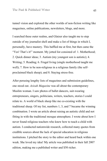tunnel vision and explored the other worlds of non-fiction writing like magazines, online publications, newsletters, blogs, and more.

I searched these outer realms, and Glatzer also taught me to step outside of my journalist shell and make a list of things in which I, personally, have mastery. This baffled me at first, but then came the "Yes! That's it!" moment. My jotted list consisted of: 1. Motherhood; 2. Quick dinner ideas; 3. Autism (my youngest son is autistic); 4. Writing; 5. Reading; 6. Frugal living (single motherhood taught me well); 7. How to be non-religious in a religious family (the selfproclaimed black sheep); and 8. Staying stress-free.

After perusing lengthy lists of magazines and submission guidelines, one stood out. *Azizah Magazine* was all about the contemporary Muslim woman. I saw photos of ballet dancers, suit-wearing entrepreneurs, singers, politicians, writers, teachers, stories I could relate to. A world of black sheep like me co-existing with the traditional sheep. Of my list, numbers 1, 3, and 7 became the winning combination. I wrote an article about raising an autistic child and not fitting in with the traditional mosque atmosphere. I wrote about how I never found religious teachers who knew how to teach a child with autism. I conducted nationwide research, collected many quotes from credible sources about the lack of special education in religious institutions. I pitched the story to the editor and heard back within one week. She loved my idea! My article was published in their fall 2007 edition, making me a published writer and \$50 richer.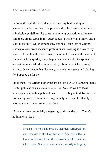In going through the steps that landed me my first paid byline, I learned many lessons that have proven valuable. I read and respect submission guidelines like some handle religious scripture. I make sure there are no typos in my query letters. I write what I know, and I learn more stuff, which expands my options. I take lots of writing classes to learn from seasoned professionals. Reading is a key to my success. I find that the more I read, the more I learn, and the sharper I become. All my quirky, scary, happy, and awkward life experiences are writing material. Most importantly, I found my niche in essay writing. Once I made that discovery, a whole new genre and playing field opened up for me.

Since then, I've written numerous articles for NASA's Johnson Space Center publications, *Chicken Soup for the Soul*, as well as local newspapers and online publications. I've even begun to delve into the fascinating world of fiction writing, namely sci-fi and thrillers (yet another niche), a new arena to explore.

I love my career, especially the getting-paid-to-write part. There's nothing else like it.

> Neesha Hosein is a journalist, technical writer/editor, and essayist in the Houston area. She has a BA in Communication from the University of Houston-Clear Lake. She is an avid reader, mostly indulging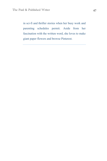in sci-fi and thriller stories when her busy work and parenting schedules permit. Aside from her fascination with the written word, she loves to make giant paper flowers and browse Pinterest.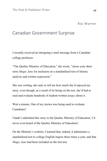#### Canadian Government Surprise

I recently received an intriguing e-mail message from a Canadian college professor.

"The Quebec Ministry of Education," she wrote, "chose your short story *Magic Jane* for inclusion on a standardized test of literary analysis and written expression."

She was writing, she said, to tell me how much she'd enjoyed my story, even though, as a result of its being on the test, she'd had to read and evaluate hundreds of student-written essays about it.

Wait a minute. One of my stories was being used to evaluate Canadians?

I hadn't submitted this story to the Quebec Ministry of Education. I'd never even heard of the Quebec Ministry of Education!

On the Ministry's website, I learned that, indeed, it administers a standardized test to college English majors three times a year, and that *Magic Jane* had been included on the last test.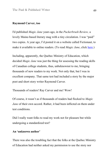#### **Raymond Carver, too**

I'd published *Magic Jane* years ago, in the *Puckerbrush Review,* a lovely Maine-based literary mag with a tiny circulation. I was "paid" two copies. A year ago, I'd posted it on a website called Fictionaut, to make it available to online readers. (To read *Magic Jane*, click here.)

Including, apparently, the Quebec Ministry of Education, which decided *Magic Jane* was just the thing for assessing the reading skills of Canadian college students, thus, unbeknownst to me, bringing thousands of new readers to my work. Not only that, but I was in excellent company. That same test had included a story by the major poet and short story writer Raymond Carver.

Thousands of readers! Ray Carver and me! Wow!

Of course, it wasn't as if thousands of readers had flocked to *Magic Jane* of their own accord. Rather, it had been inflicted on them under test conditions.

Did I really want folks to read my work not for pleasure but while undergoing a standardized test?

#### **An 'unknown author'**

There was also the troubling fact that the folks at the Quebec Ministry of Education had neither asked my permission to use the story nor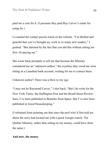paid me a cent for it. (I presume they paid Ray Carver's estate for using *his*.)

I e-mailed the contact person listed on the website. "I'm thrilled and grateful that you've brought my work to so many new readers," I gushed. "But alarmed by the fact that you did this without asking me first. Or paying me."

She wrote back promptly to tell me that because the Ministry considered me an "unknown author," the royalties they owed me were sitting in a Canadian bank account, waiting for me to contact them.

Unknown author? There was a blow to my ego.

"I may not be Raymond Carver," I shot back, "But I do write for the New York Times, the Huffington Post and the Broad Street Review. Sure, I've been published in Beatniks from Space. But I've also been published in Good Housekeeping."

(I refrained from pointing out that since the prof who'd first told me about the story had located me with a quick Google search. The Quebec Ministry, rather than sitting on my money, could have done the same.)

#### **And now, the money**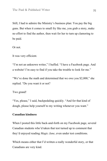Still, I had to admire the Ministry's business plan: You pay the big guns. But when it comes to small fry like me, you grab a story, make no effort to find the author, then wait for her to turn up clamoring to be paid.

Or not.

It was very efficient.

"I'm not an unknown writer," I huffed. "I have a Facebook page. And a website! I'm easy to find if you take the trouble to look for me."

"We've done the math and determined that we owe you \$2,000," she replied. "Do you want it or not?

Two grand!

"Yes, please," I said, backpedaling quickly. "And for that kind of dough, please help yourself to my writing whenever you want."

#### **Canadian kindness**

When I posted this little back-and-forth on my Facebook page, several Canadian students who'd taken that test turned up to comment that they'd enjoyed reading *Magic Jane*, even under test conditions.

Which means either that I'd written a really wonderful story, or that Canadians are very kind.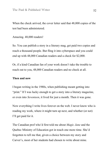When the check arrived, the cover letter said that 48,000 copies of the test had been administered.

Amazing. 48,000 readers!

So. You can publish a story in a literary mag, get paid two copies and reach a thousand people. But fling it into cyberspace and you could end up with 48,000 Canadian readers and a check for \$2,000.

Or, if a kind Canadian fan of your work doesn't take the trouble to reach out to you, 48,000 Canadian readers and no check at all.

#### **Then and now**

I began writing in the 1980s, when publishing meant getting into "print." If I was lucky enough to get a story into a literary magazine, or even into *Seventeen*, it lived for just a month. Then it was gone.

Now everything I write lives forever on the web. I never know who is reading my work, where it might turn up next, and whether (or not) I'll get paid for it.

The Canadian prof who'd first told me about *Magic Jane* and the Quebec Ministry of Education got in touch one more time. She'd forgotten to tell me that, given a choice between my story and Carver's, most of her students had chosen to write about mine.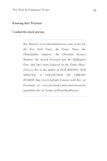Knowing that? Priceless!

I cashed the check anyway.

*Roz Warren (www.Rosalindwarren.com) writes for the New York Times, the Funny Times, the Philadelphia Inquirer, the Christian Science Monitor, the Jewish Forward and the Huffington Post. And she's been featured on the Today Show. (Twice!) Roz is the author of OUR BODIES, OUR SHELVES: A COLLECTION OF LIBRARY HUMOR. http://ow.ly/LpFgE) Connect with Roz on Facebook at www.facebook.com/writerrozwarren and follow her on Twitter @WriterRozWarren*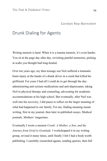#### Carolyn Roy-Bornstein

#### Drunk Dialing for Agents

Writing memoir is hard. When it is a trauma memoir, it's even harder. You sit at the page day after day, revisiting painful memories, picking at scabs you thought had long-healed.

Over ten years ago, my then teenage son Neil suffered a traumatic brain injury at the hands of a drunk driver in a crash that killed his girlfriend. For years I had all I could do to get through the day: administering anti-seizure medications and anti-depressants, taking Neil to physical therapy and counseling, advocating for academic accommodations at his high school. But eventually, after Neil was well into his recovery, I did pause to reflect on the larger meaning of what had happened to our family. For me, finding meaning meant writing, first in my journal, then later in published essays. Medical journals. Mothers' magazines.

Eventually I wrote a memoir *Crash: A Mother, a Son, and the Journey from Grief to Gratitude.* I workshopped it in my writing group, revised it many times, until finally I felt I had a book worth publishing. I carefully researched agents, sending queries, then full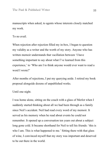manuscripts when asked, to agents whose interests closely matched my work.

To no avail.

When rejection after rejection filled my in-box, I began to question my validity as a writer and the worth of my story. Anyone who has written memoir understands that vacillation between 'I have something important to say about what I've learned from this experience,' to 'Who am I to think anyone would ever want to read a word I wrote?'

After months of rejections, I put my querying aside. I retired my book proposal alongside dozens of unpublished works.

Until one night.

I was home alone, sitting on the couch with a glass of Merlot when I suddenly started thinking about all we had been through as a family since Neil's accident. Neil had read every word of my memoir. It served as his memory when he read about events he could not remember. It opened up a conversation ten years out about a subject long gone cold. It became shorthand for Neil to tell his friends: 'this is who I am. This is what happened to me.' Sitting there with that glass of wine, I convinced myself that my story was important and deserved to be out there in the world.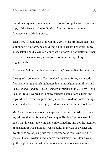I set down my wine, marched upstairs to my computer and opened my copy of the *Writer's Digest Guide to Literary Agents* and read. Alphabetically. Meticulously.

That's how I found Dan Bial. On his web site, he promised that if an author had a platform, he could find a publisher for her work. In my query letter I boldly wrote, "You want platform? I got platform," then went on to describe my publications, columns and speaking engagements.

"Give me 24 hours with your manuscript," Dan replied the next day.

We signed a contract and Dan received requests for my manuscript from many large publishing houses including Algonquin, Simon and Schuster and Random House. *Crash* was published in 2012 by Globe Pequot Press. I worked with many talented acquisitions editors and copy editors, cover designers and publicists. I've done book readings at medical schools, brain injury conferences, libraries and book stores.

My friends tease me about my experience getting published, calling it my "drunk-dialing for agents" technique. But in all seriousness, I know that it wasn't the wine that emboldened me and got the attention of an agent. It was passion. It was a belief in myself as a writer and my story as an inspiring tale that deserved to be told. And it is this passion that all writers need; amidst the flickers of self-doubt we all go through, if a steadfast belief in ourselves and our work shines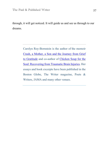through, it will get noticed. It will guide us and see us through to our dreams.

> Carolyn Roy-Bornstein is the author of the memoir Crash, a Mother, a Son and the Journey from Grief to Gratitude and co-author of Chicken Soup for the Soul: Recovering from Traumatic Brain Injuries. Her essays and book excerpts have been published in the Boston Globe, The Writer magazine, Poets & Writers, JAMA and many other venues.